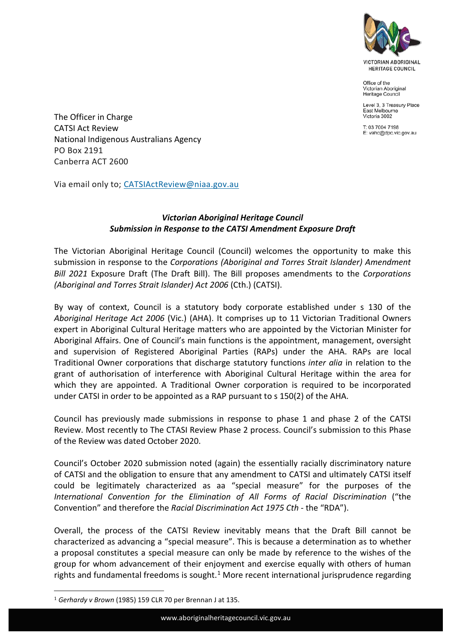

Office of the Victorian Aboriginal Heritage Council

Level 3, 3 Treasury Place East Melbourne Victoria 3002

T: 03 7004 7198 E: vahc@dpc.vic.gov.au

The Officer in Charge CATSI Act Review National Indigenous Australians Agency PO Box 2191 Canberra ACT 2600

Via email only to; CATSIActReview@niaa.gov.au

## *Victorian Aboriginal Heritage Council Submission in Response to the CATSI Amendment Exposure Draft*

The Victorian Aboriginal Heritage Council (Council) welcomes the opportunity to make this submission in response to the *Corporations (Aboriginal and Torres Strait Islander) Amendment Bill 2021* Exposure Draft (The Draft Bill). The Bill proposes amendments to the *Corporations (Aboriginal and Torres Strait Islander) Act 2006* (Cth.) (CATSI).

By way of context, Council is a statutory body corporate established under s 130 of the *Aboriginal Heritage Act 2006* (Vic.) (AHA). It comprises up to 11 Victorian Traditional Owners expert in Aboriginal Cultural Heritage matters who are appointed by the Victorian Minister for Aboriginal Affairs. One of Council's main functions is the appointment, management, oversight and supervision of Registered Aboriginal Parties (RAPs) under the AHA. RAPs are local Traditional Owner corporations that discharge statutory functions *inter alia* in relation to the grant of authorisation of interference with Aboriginal Cultural Heritage within the area for which they are appointed. A Traditional Owner corporation is required to be incorporated under CATSI in order to be appointed as a RAP pursuant to s 150(2) of the AHA.

Council has previously made submissions in response to phase 1 and phase 2 of the CATSI Review. Most recently to The CTASI Review Phase 2 process. Council's submission to this Phase of the Review was dated October 2020.

Council's October 2020 submission noted (again) the essentially racially discriminatory nature of CATSI and the obligation to ensure that any amendment to CATSI and ultimately CATSI itself could be legitimately characterized as aa "special measure" for the purposes of the *International Convention for the Elimination of All Forms of Racial Discrimination* ("the Convention" and therefore the *Racial Discrimination Act 1975 Cth* - the "RDA").

Overall, the process of the CATSI Review inevitably means that the Draft Bill cannot be characterized as advancing a "special measure". This is because a determination as to whether a proposal constitutes a special measure can only be made by reference to the wishes of the group for whom advancement of their enjoyment and exercise equally with others of human rights and fundamental freedoms is sought.<sup>1</sup> More recent international jurisprudence regarding

<sup>1</sup> *Gerhardy v Brown* (1985) 159 CLR 70 per Brennan J at 135.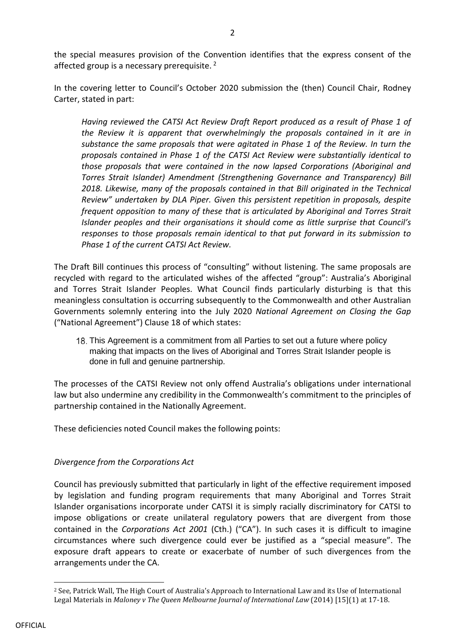the special measures provision of the Convention identifies that the express consent of the affected group is a necessary prerequisite.<sup>2</sup>

In the covering letter to Council's October 2020 submission the (then) Council Chair, Rodney Carter, stated in part:

*Having reviewed the CATSI Act Review Draft Report produced as a result of Phase 1 of the Review it is apparent that overwhelmingly the proposals contained in it are in substance the same proposals that were agitated in Phase 1 of the Review. In turn the proposals contained in Phase 1 of the CATSI Act Review were substantially identical to those proposals that were contained in the now lapsed Corporations (Aboriginal and Torres Strait Islander) Amendment (Strengthening Governance and Transparency) Bill 2018. Likewise, many of the proposals contained in that Bill originated in the Technical Review" undertaken by DLA Piper. Given this persistent repetition in proposals, despite frequent opposition to many of these that is articulated by Aboriginal and Torres Strait Islander peoples and their organisations it should come as little surprise that Council's responses to those proposals remain identical to that put forward in its submission to Phase 1 of the current CATSI Act Review.*

The Draft Bill continues this process of "consulting" without listening. The same proposals are recycled with regard to the articulated wishes of the affected "group": Australia's Aboriginal and Torres Strait Islander Peoples. What Council finds particularly disturbing is that this meaningless consultation is occurring subsequently to the Commonwealth and other Australian Governments solemnly entering into the July 2020 *National Agreement on Closing the Gap* ("National Agreement") Clause 18 of which states:

18. This Agreement is a commitment from all Parties to set out a future where policy making that impacts on the lives of Aboriginal and Torres Strait Islander people is done in full and genuine partnership.

The processes of the CATSI Review not only offend Australia's obligations under international law but also undermine any credibility in the Commonwealth's commitment to the principles of partnership contained in the Nationally Agreement.

These deficiencies noted Council makes the following points:

# *Divergence from the Corporations Act*

Council has previously submitted that particularly in light of the effective requirement imposed by legislation and funding program requirements that many Aboriginal and Torres Strait Islander organisations incorporate under CATSI it is simply racially discriminatory for CATSI to impose obligations or create unilateral regulatory powers that are divergent from those contained in the *Corporations Act 2001* (Cth.) ("CA"). In such cases it is difficult to imagine circumstances where such divergence could ever be justified as a "special measure". The exposure draft appears to create or exacerbate of number of such divergences from the arrangements under the CA.

<sup>2</sup> See, Patrick Wall, The High Court of Australia's Approach to International Law and its Use of International Legal Materials in *Maloney v The Queen Melbourne Journal of International Law* (2014) [15](1) at 17-18.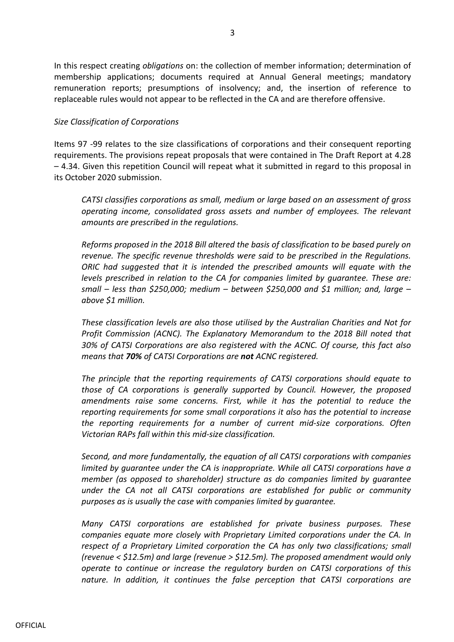In this respect creating *obligations* on: the collection of member information; determination of membership applications; documents required at Annual General meetings; mandatory remuneration reports; presumptions of insolvency; and, the insertion of reference to replaceable rules would not appear to be reflected in the CA and are therefore offensive.

#### *Size Classification of Corporations*

Items 97 -99 relates to the size classifications of corporations and their consequent reporting requirements. The provisions repeat proposals that were contained in The Draft Report at 4.28 – 4.34. Given this repetition Council will repeat what it submitted in regard to this proposal in its October 2020 submission.

*CATSI classifies corporations as small, medium or large based on an assessment of gross operating income, consolidated gross assets and number of employees. The relevant amounts are prescribed in the regulations.*

*Reforms proposed in the 2018 Bill altered the basis of classification to be based purely on revenue. The specific revenue thresholds were said to be prescribed in the Regulations. ORIC had suggested that it is intended the prescribed amounts will equate with the levels prescribed in relation to the CA for companies limited by guarantee. These are: small – less than \$250,000; medium – between \$250,000 and \$1 million; and, large – above \$1 million.*

*These classification levels are also those utilised by the Australian Charities and Not for Profit Commission (ACNC). The Explanatory Memorandum to the 2018 Bill noted that 30% of CATSI Corporations are also registered with the ACNC. Of course, this fact also means that 70% of CATSI Corporations are not ACNC registered.*

*The principle that the reporting requirements of CATSI corporations should equate to those of CA corporations is generally supported by Council. However, the proposed amendments raise some concerns. First, while it has the potential to reduce the reporting requirements for some small corporations it also has the potential to increase the reporting requirements for a number of current mid-size corporations. Often Victorian RAPs fall within this mid-size classification.*

*Second, and more fundamentally, the equation of all CATSI corporations with companies limited by guarantee under the CA is inappropriate. While all CATSI corporations have a member (as opposed to shareholder) structure as do companies limited by guarantee under the CA not all CATSI corporations are established for public or community purposes as is usually the case with companies limited by guarantee.*

*Many CATSI corporations are established for private business purposes. These companies equate more closely with Proprietary Limited corporations under the CA. In respect of a Proprietary Limited corporation the CA has only two classifications; small (revenue < \$12.5m) and large (revenue > \$12.5m). The proposed amendment would only operate to continue or increase the regulatory burden on CATSI corporations of this nature. In addition, it continues the false perception that CATSI corporations are*